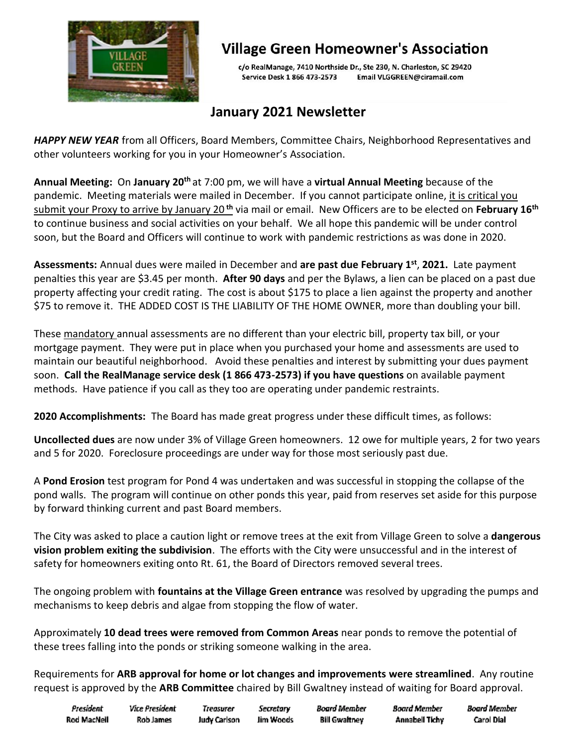

## **Village Green Homeowner's Association**

c/o RealManage, 7410 Northside Dr., Ste 230, N. Charleston, SC 29420 Service Desk 1 866 473-2573 Email VLGGREEN@ciramail.com

### **January 2021 Newsletter**

*HAPPY NEW YEAR* from all Officers, Board Members, Committee Chairs, Neighborhood Representatives and other volunteers working for you in your Homeowner's Association.

**Annual Meeting:** On **January 20th** at 7:00 pm, we will have a **virtual Annual Meeting** because of the pandemic. Meeting materials were mailed in December. If you cannot participate online, it is critical you submit your Proxy to arrive by January 20 **th** via mail or email. New Officers are to be elected on **February 16th** to continue business and social activities on your behalf. We all hope this pandemic will be under control soon, but the Board and Officers will continue to work with pandemic restrictions as was done in 2020.

**Assessments:** Annual dues were mailed in December and **are past due February 1 st** , **2021.** Late payment penalties this year are \$3.45 per month. **After 90 days** and per the Bylaws, a lien can be placed on a past due property affecting your credit rating. The cost is about \$175 to place a lien against the property and another \$75 to remove it. THE ADDED COST IS THE LIABILITY OF THE HOME OWNER, more than doubling your bill.

These mandatory annual assessments are no different than your electric bill, property tax bill, or your mortgage payment. They were put in place when you purchased your home and assessments are used to maintain our beautiful neighborhood. Avoid these penalties and interest by submitting your dues payment soon. **Call the RealManage service desk (1 866 473-2573) if you have questions** on available payment methods. Have patience if you call as they too are operating under pandemic restraints.

**2020 Accomplishments:** The Board has made great progress under these difficult times, as follows:

**Uncollected dues** are now under 3% of Village Green homeowners. 12 owe for multiple years, 2 for two years and 5 for 2020. Foreclosure proceedings are under way for those most seriously past due.

A **Pond Erosion** test program for Pond 4 was undertaken and was successful in stopping the collapse of the pond walls. The program will continue on other ponds this year, paid from reserves set aside for this purpose by forward thinking current and past Board members.

The City was asked to place a caution light or remove trees at the exit from Village Green to solve a **dangerous vision problem exiting the subdivision**. The efforts with the City were unsuccessful and in the interest of safety for homeowners exiting onto Rt. 61, the Board of Directors removed several trees.

The ongoing problem with **fountains at the Village Green entrance** was resolved by upgrading the pumps and mechanisms to keep debris and algae from stopping the flow of water.

Approximately **10 dead trees were removed from Common Areas** near ponds to remove the potential of these trees falling into the ponds or striking someone walking in the area.

Requirements for **ARB approval for home or lot changes and improvements were streamlined**. Any routine request is approved by the **ARB Committee** chaired by Bill Gwaltney instead of waiting for Board approval.

| President   | Vice President | treasurer    | Secretary | Board Member         | Board Member          | Board Member |
|-------------|----------------|--------------|-----------|----------------------|-----------------------|--------------|
| Rod MacNell | Rob James      | Judy Carlson | Jim Woods | <b>Bill Gwaltney</b> | <b>Annabell Tichy</b> | Carol Dial   |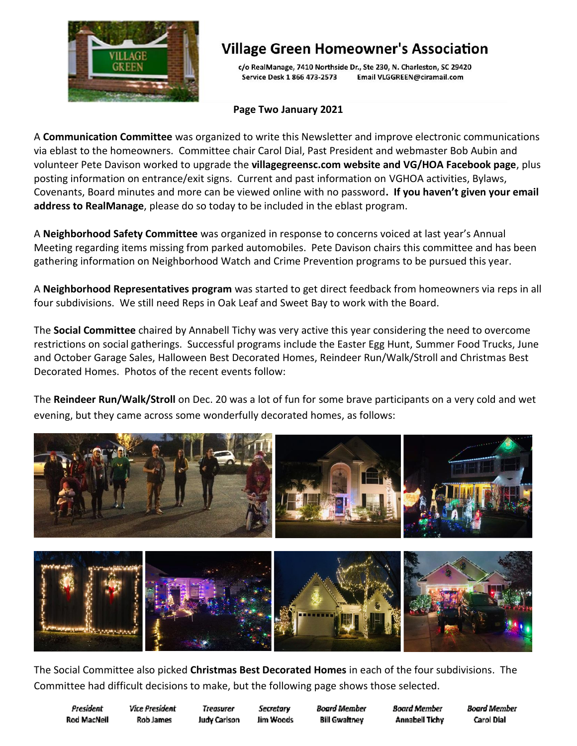

## **Village Green Homeowner's Association**

c/o RealManage, 7410 Northside Dr., Ste 230, N. Charleston, SC 29420 Email VLGGREEN@ciramail.com Service Desk 1 866 473-2573

### **Page Two January 2021**

A **Communication Committee** was organized to write this Newsletter and improve electronic communications via eblast to the homeowners. Committee chair Carol Dial, Past President and webmaster Bob Aubin and volunteer Pete Davison worked to upgrade the **villagegreensc.com website and VG/HOA Facebook page**, plus posting information on entrance/exit signs. Current and past information on VGHOA activities, Bylaws, Covenants, Board minutes and more can be viewed online with no password**. If you haven't given your email address to RealManage**, please do so today to be included in the eblast program.

A **Neighborhood Safety Committee** was organized in response to concerns voiced at last year's Annual Meeting regarding items missing from parked automobiles. Pete Davison chairs this committee and has been gathering information on Neighborhood Watch and Crime Prevention programs to be pursued this year.

A **Neighborhood Representatives program** was started to get direct feedback from homeowners via reps in all four subdivisions. We still need Reps in Oak Leaf and Sweet Bay to work with the Board.

The **Social Committee** chaired by Annabell Tichy was very active this year considering the need to overcome restrictions on social gatherings. Successful programs include the Easter Egg Hunt, Summer Food Trucks, June and October Garage Sales, Halloween Best Decorated Homes, Reindeer Run/Walk/Stroll and Christmas Best Decorated Homes. Photos of the recent events follow:

The **Reindeer Run/Walk/Stroll** on Dec. 20 was a lot of fun for some brave participants on a very cold and wet evening, but they came across some wonderfully decorated homes, as follows:



The Social Committee also picked **Christmas Best Decorated Homes** in each of the four subdivisions. The Committee had difficult decisions to make, but the following page shows those selected.

President **Rod MacNell**  **Vice President** Rob James

**Treasurer Judy Carlson** 

Secretary Jim Woods

Board Member **Bill Gwaltney** 

**Board Member Annabell Tichy**  **Board Member Carol Dial**